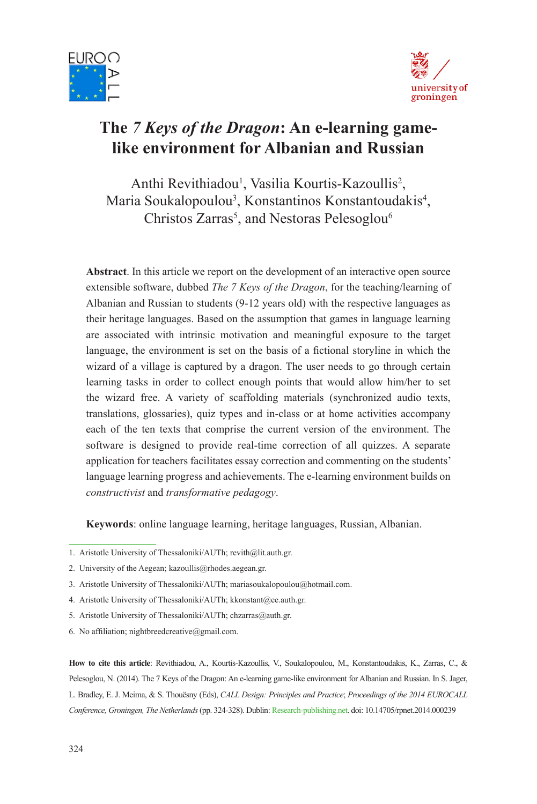



# **The** *7 Keys of the Dragon***: An e-learning gamelike environment for Albanian and Russian**

Anthi Revithiadou<sup>1</sup>, Vasilia Kourtis-Kazoullis<sup>2</sup>, Maria Soukalopoulou<sup>3</sup>, Konstantinos Konstantoudakis<sup>4</sup>, Christos Zarras<sup>5</sup>, and Nestoras Pelesoglou<sup>6</sup>

**Abstract**. In this article we report on the development of an interactive open source extensible software, dubbed *The 7 Keys of the Dragon*, for the teaching/learning of Albanian and Russian to students (9-12 years old) with the respective languages as their heritage languages. Based on the assumption that games in language learning are associated with intrinsic motivation and meaningful exposure to the target language, the environment is set on the basis of a fictional storyline in which the wizard of a village is captured by a dragon. The user needs to go through certain learning tasks in order to collect enough points that would allow him/her to set the wizard free. A variety of scaffolding materials (synchronized audio texts, translations, glossaries), quiz types and in-class or at home activities accompany each of the ten texts that comprise the current version of the environment. The software is designed to provide real-time correction of all quizzes. A separate application for teachers facilitates essay correction and commenting on the students' language learning progress and achievements. The e-learning environment builds on *constructivist* and *transformative pedagogy*.

**Keywords**: online language learning, heritage languages, Russian, Albanian.

**How to cite this article**: Revithiadou, A., Kourtis-Kazoullis, V., Soukalopoulou, M., Konstantoudakis, K., Zarras, C., & Pelesoglou, N. (2014). The 7 Keys of the Dragon: An e-learning game-like environment for Albanian and Russian. In S. Jager, L. Bradley, E. J. Meima, & S. Thouësny (Eds), *CALL Design: Principles and Practice*; *Proceedings of the 2014 EUROCALL Conference, Groningen, The Netherlands* (pp. 324-328). Dublin: Research-publishing.net. doi: 10.14705/rpnet.2014.000239

<sup>1.</sup> Aristotle University of Thessaloniki/AUTh; revith@lit.auth.gr.

<sup>2.</sup> University of the Aegean; kazoullis@rhodes.aegean.gr.

<sup>3.</sup> Aristotle University of Thessaloniki/AUTh; mariasoukalopoulou@hotmail.com.

<sup>4.</sup> Aristotle University of Thessaloniki/AUTh; kkonstant@ee.auth.gr.

<sup>5.</sup> Aristotle University of Thessaloniki/AUTh; chzarras@auth.gr.

<sup>6.</sup> No affiliation; nightbreedcreative@gmail.com.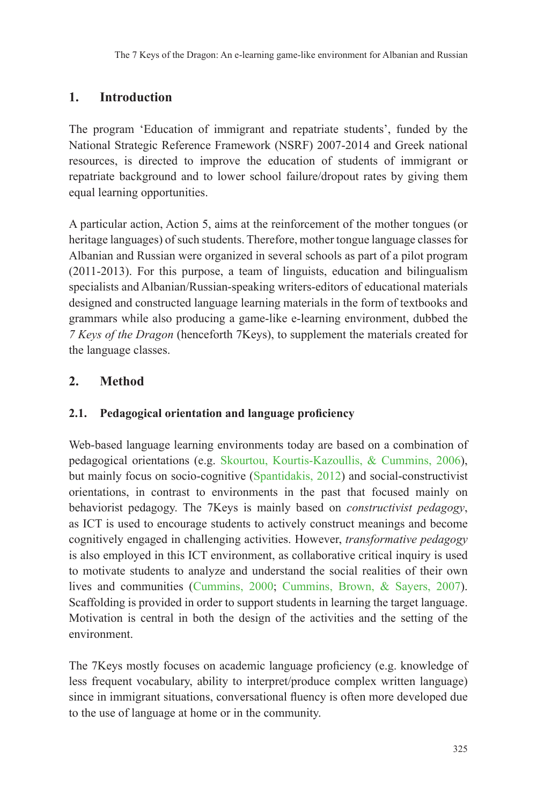## **1. Introduction**

The program 'Education of immigrant and repatriate students', funded by the National Strategic Reference Framework (NSRF) 2007-2014 and Greek national resources, is directed to improve the education of students of immigrant or repatriate background and to lower school failure/dropout rates by giving them equal learning opportunities.

A particular action, Action 5, aims at the reinforcement of the mother tongues (or heritage languages) of such students. Therefore, mother tongue language classes for Albanian and Russian were organized in several schools as part of a pilot program (2011-2013). For this purpose, a team of linguists, education and bilingualism specialists and Albanian/Russian-speaking writers-editors of educational materials designed and constructed language learning materials in the form of textbooks and grammars while also producing a game-like e-learning environment, dubbed the *7 Keys of the Dragon* (henceforth 7Keys), to supplement the materials created for the language classes.

## **2. Method**

### **2.1. Pedagogical orientation and language proficiency**

Web-based language learning environments today are based on a combination of pedagogical orientations (e.g. Skourtou, Kourtis-Kazoullis, & Cummins, 2006), but mainly focus on socio-cognitive (Spantidakis, 2012) and social-constructivist orientations, in contrast to environments in the past that focused mainly on behaviorist pedagogy. The 7Keys is mainly based on *constructivist pedagogy*, as ICT is used to encourage students to actively construct meanings and become cognitively engaged in challenging activities. However, *transformative pedagogy*  is also employed in this ICT environment, as collaborative critical inquiry is used to motivate students to analyze and understand the social realities of their own lives and communities (Cummins, 2000; Cummins, Brown, & Sayers, 2007). Scaffolding is provided in order to support students in learning the target language. Motivation is central in both the design of the activities and the setting of the environment.

The 7Keys mostly focuses on academic language proficiency (e.g. knowledge of less frequent vocabulary, ability to interpret/produce complex written language) since in immigrant situations, conversational fluency is often more developed due to the use of language at home or in the community.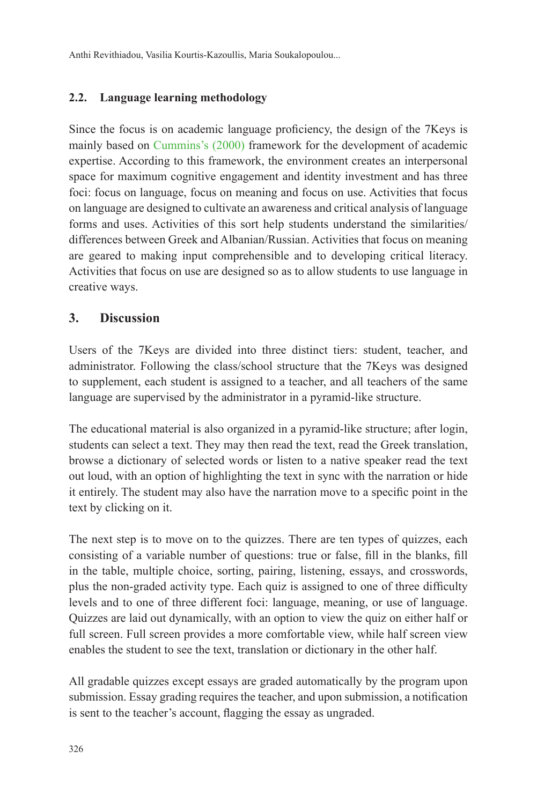Anthi Revithiadou, Vasilia Kourtis-Kazoullis, Maria Soukalopoulou...

#### **2.2. Language learning methodology**

Since the focus is on academic language proficiency, the design of the 7Keys is mainly based on Cummins's (2000) framework for the development of academic expertise. According to this framework, the environment creates an interpersonal space for maximum cognitive engagement and identity investment and has three foci: focus on language, focus on meaning and focus on use. Activities that focus on language are designed to cultivate an awareness and critical analysis of language forms and uses. Activities of this sort help students understand the similarities/ differences between Greek and Albanian/Russian. Activities that focus on meaning are geared to making input comprehensible and to developing critical literacy. Activities that focus on use are designed so as to allow students to use language in creative ways.

#### **3. Discussion**

Users of the 7Keys are divided into three distinct tiers: student, teacher, and administrator. Following the class/school structure that the 7Keys was designed to supplement, each student is assigned to a teacher, and all teachers of the same language are supervised by the administrator in a pyramid-like structure.

The educational material is also organized in a pyramid-like structure; after login, students can select a text. They may then read the text, read the Greek translation, browse a dictionary of selected words or listen to a native speaker read the text out loud, with an option of highlighting the text in sync with the narration or hide it entirely. The student may also have the narration move to a specific point in the text by clicking on it.

The next step is to move on to the quizzes. There are ten types of quizzes, each consisting of a variable number of questions: true or false, fill in the blanks, fill in the table, multiple choice, sorting, pairing, listening, essays, and crosswords, plus the non-graded activity type. Each quiz is assigned to one of three difficulty levels and to one of three different foci: language, meaning, or use of language. Quizzes are laid out dynamically, with an option to view the quiz on either half or full screen. Full screen provides a more comfortable view, while half screen view enables the student to see the text, translation or dictionary in the other half.

All gradable quizzes except essays are graded automatically by the program upon submission. Essay grading requires the teacher, and upon submission, a notification is sent to the teacher's account, flagging the essay as ungraded.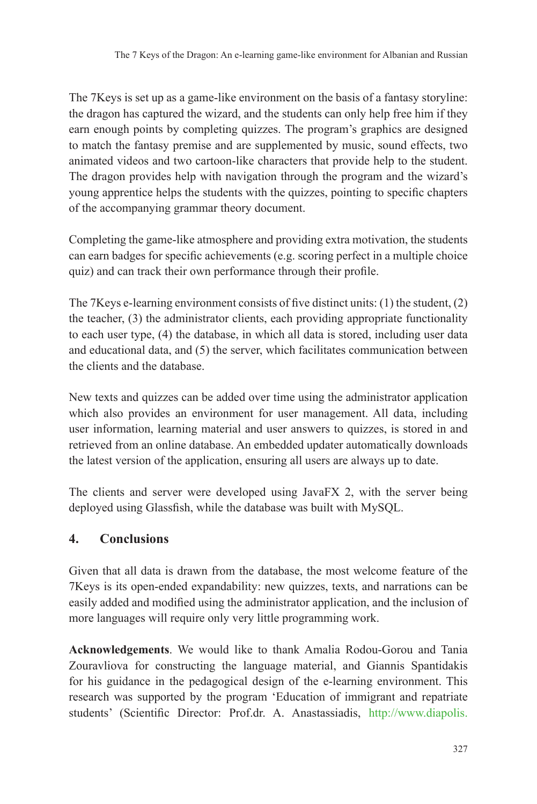The 7Keys is set up as a game-like environment on the basis of a fantasy storyline: the dragon has captured the wizard, and the students can only help free him if they earn enough points by completing quizzes. The program's graphics are designed to match the fantasy premise and are supplemented by music, sound effects, two animated videos and two cartoon-like characters that provide help to the student. The dragon provides help with navigation through the program and the wizard's young apprentice helps the students with the quizzes, pointing to specific chapters of the accompanying grammar theory document.

Completing the game-like atmosphere and providing extra motivation, the students can earn badges for specific achievements (e.g. scoring perfect in a multiple choice quiz) and can track their own performance through their profile.

The 7Keys e-learning environment consists of five distinct units: (1) the student, (2) the teacher, (3) the administrator clients, each providing appropriate functionality to each user type, (4) the database, in which all data is stored, including user data and educational data, and (5) the server, which facilitates communication between the clients and the database.

New texts and quizzes can be added over time using the administrator application which also provides an environment for user management. All data, including user information, learning material and user answers to quizzes, is stored in and retrieved from an online database. An embedded updater automatically downloads the latest version of the application, ensuring all users are always up to date.

The clients and server were developed using JavaFX 2, with the server being deployed using Glassfish, while the database was built with MySQL.

### **4. Conclusions**

Given that all data is drawn from the database, the most welcome feature of the 7Keys is its open-ended expandability: new quizzes, texts, and narrations can be easily added and modified using the administrator application, and the inclusion of more languages will require only very little programming work.

**Acknowledgements**. We would like to thank Amalia Rodou-Gorou and Tania Zouravliova for constructing the language material, and Giannis Spantidakis for his guidance in the pedagogical design of the e-learning environment. This research was supported by the program 'Education of immigrant and repatriate students' (Scientific Director: Prof.dr. A. Anastassiadis, http://www.diapolis.